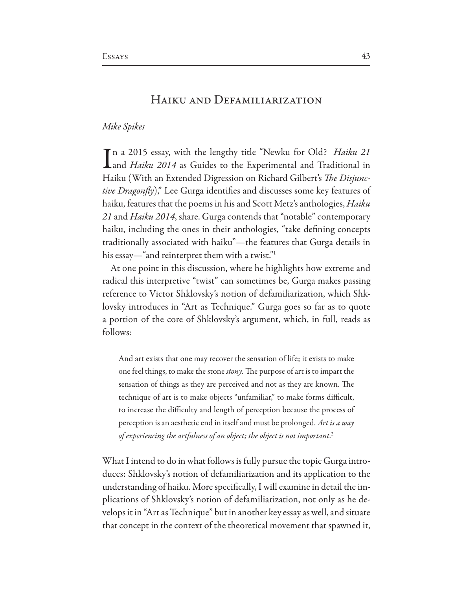# HAIKU AND DEFAMILIARIZATION

## Mike Spikes

Tn a 2015 essay, with the lengthy title "Newku for Old? Haiku 21 Land Haiku 2014 as Guides to the Experimental and Traditional in Haiku (With an Extended Digression on Richard Gilbert's *The Disjunctive Dragonfly*)," Lee Gurga identifies and discusses some key features of haiku, features that the poems in his and Scott Metz's anthologies, *Haiku* 21 and *Haiku* 2014, share. Gurga contends that "notable" contemporary haiku, including the ones in their anthologies, "take defining concepts traditionally associated with haiku"-the features that Gurga details in his essay—"and reinterpret them with a twist."<sup>1</sup>

At one point in this discussion, where he highlights how extreme and radical this interpretive "twist" can sometimes be, Gurga makes passing reference to Victor Shklovsky's notion of defamiliarization, which Shklovsky introduces in "Art as Technique." Gurga goes so far as to quote a portion of the core of Shklovsky's argument, which, in full, reads as follows:

And art exists that one may recover the sensation of life; it exists to make one feel things, to make the stone *stony*. The purpose of art is to impart the sensation of things as they are perceived and not as they are known. The technique of art is to make objects "unfamiliar," to make forms difficult, to increase the difficulty and length of perception because the process of perception is an aesthetic end in itself and must be prolonged. Art is a way of experiencing the artfulness of an object; the object is not important.<sup>2</sup>

What I intend to do in what follows is fully pursue the topic Gurga introduces: Shklovsky's notion of defamiliarization and its application to the understanding of haiku. More specifically, I will examine in detail the implications of Shklovsky's notion of defamiliarization, not only as he develops it in "Art as Technique" but in another key essay as well, and situate that concept in the context of the theoretical movement that spawned it,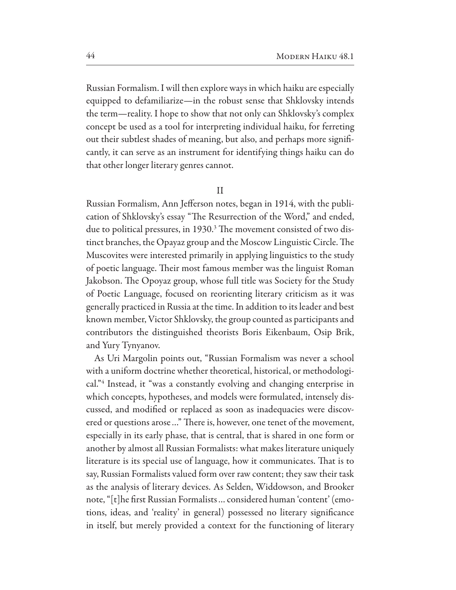Russian Formalism. I will then explore ways in which haiku are especially equipped to defamiliarize—in the robust sense that Shklovsky intends the term—reality. I hope to show that not only can Shklovsky's complex concept be used as a tool for interpreting individual haiku, for ferreting out their subtlest shades of meaning, but also, and perhaps more significantly, it can serve as an instrument for identifying things haiku can do that other longer literary genres cannot.

 $\mathbf{H}$ 

Russian Formalism, Ann Jefferson notes, began in 1914, with the publication of Shklovsky's essay "The Resurrection of the Word," and ended, due to political pressures, in 1930.<sup>3</sup> The movement consisted of two distinct branches, the Opayaz group and the Moscow Linguistic Circle. The Muscovites were interested primarily in applying linguistics to the study of poetic language. Their most famous member was the linguist Roman Jakobson. The Opoyaz group, whose full title was Society for the Study of Poetic Language, focused on reorienting literary criticism as it was generally practiced in Russia at the time. In addition to its leader and best known member, Victor Shklovsky, the group counted as participants and contributors the distinguished theorists Boris Eikenbaum, Osip Brik, and Yury Tynyanov.

As Uri Margolin points out, "Russian Formalism was never a school with a uniform doctrine whether theoretical, historical, or methodological."4 Instead, it "was a constantly evolving and changing enterprise in which concepts, hypotheses, and models were formulated, intensely discussed, and modified or replaced as soon as inadequacies were discovered or questions arose..." There is, however, one tenet of the movement, especially in its early phase, that is central, that is shared in one form or another by almost all Russian Formalists: what makes literature uniquely literature is its special use of language, how it communicates. That is to say, Russian Formalists valued form over raw content; they saw their task as the analysis of literary devices. As Selden, Widdowson, and Brooker note, "[t]he first Russian Formalists ... considered human 'content' (emotions, ideas, and 'reality' in general) possessed no literary significance in itself, but merely provided a context for the functioning of literary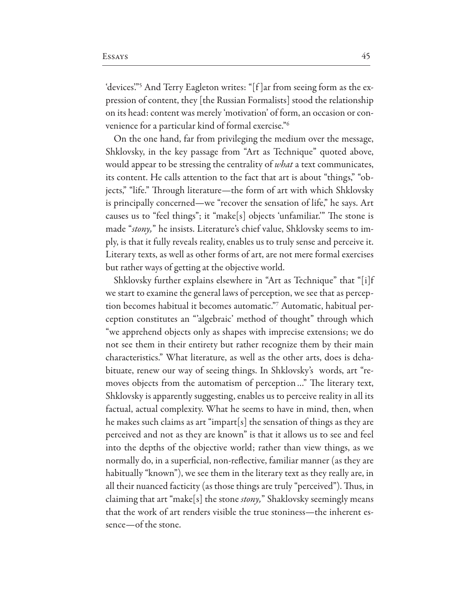'devices."<sup>5</sup> And Terry Eagleton writes: "[f]ar from seeing form as the expression of content, they [the Russian Formalists] stood the relationship on its head: content was merely 'motivation' of form, an occasion or convenience for a particular kind of formal exercise."<sup>6</sup>

On the one hand, far from privileging the medium over the message, Shklovsky, in the key passage from "Art as Technique" quoted above, would appear to be stressing the centrality of *what* a text communicates, its content. He calls attention to the fact that art is about "things," "objects," "life." Through literature—the form of art with which Shklovsky is principally concerned—we "recover the sensation of life," he says. Art causes us to "feel things"; it "make[s] objects 'unfamiliar." The stone is made "stony," he insists. Literature's chief value, Shklovsky seems to imply, is that it fully reveals reality, enables us to truly sense and perceive it. Literary texts, as well as other forms of art, are not mere formal exercises but rather ways of getting at the objective world.

Shklovsky further explains elsewhere in "Art as Technique" that "[i]f we start to examine the general laws of perception, we see that as perception becomes habitual it becomes automatic."<sup>7</sup> Automatic, habitual perception constitutes an "algebraic' method of thought" through which "we apprehend objects only as shapes with imprecise extensions; we do not see them in their entirety but rather recognize them by their main characteristics." What literature, as well as the other arts, does is dehabituate, renew our way of seeing things. In Shklovsky's words, art "removes objects from the automatism of perception..." The literary text, Shklovsky is apparently suggesting, enables us to perceive reality in all its factual, actual complexity. What he seems to have in mind, then, when he makes such claims as art "impart [s] the sensation of things as they are perceived and not as they are known" is that it allows us to see and feel into the depths of the objective world; rather than view things, as we normally do, in a superficial, non-reflective, familiar manner (as they are habitually "known"), we see them in the literary text as they really are, in all their nuanced facticity (as those things are truly "perceived"). Thus, in claiming that art "make[s] the stone *stony*," Shaklovsky seemingly means that the work of art renders visible the true stoniness—the inherent essence-of the stone.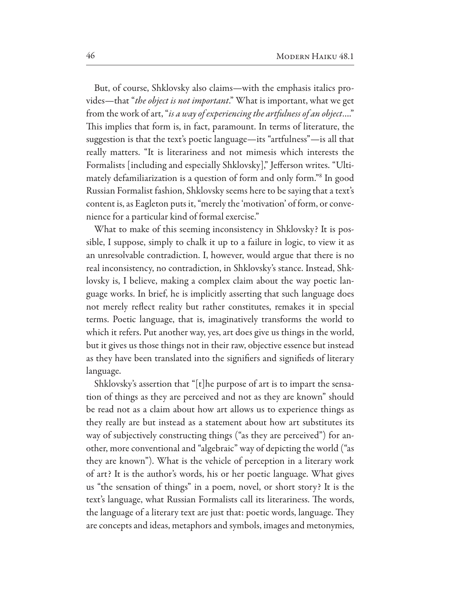But, of course, Shklovsky also claims-with the emphasis italics provides-that "the object is not important." What is important, what we get from the work of art, "is a way of experiencing the artfulness of an object...." This implies that form is, in fact, paramount. In terms of literature, the suggestion is that the text's poetic language—its "artfulness"—is all that really matters. "It is literariness and not mimesis which interests the Formalists [including and especially Shklovsky]," Jefferson writes. "Ultimately defamiliarization is a question of form and only form."<sup>8</sup> In good Russian Formalist fashion, Shklovsky seems here to be saying that a text's content is, as Eagleton puts it, "merely the 'motivation' of form, or convenience for a particular kind of formal exercise."

What to make of this seeming inconsistency in Shklovsky? It is possible, I suppose, simply to chalk it up to a failure in logic, to view it as an unresolvable contradiction. I, however, would argue that there is no real inconsistency, no contradiction, in Shklovsky's stance. Instead, Shklovsky is, I believe, making a complex claim about the way poetic language works. In brief, he is implicitly asserting that such language does not merely reflect reality but rather constitutes, remakes it in special terms. Poetic language, that is, imaginatively transforms the world to which it refers. Put another way, yes, art does give us things in the world, but it gives us those things not in their raw, objective essence but instead as they have been translated into the signifiers and signifieds of literary language.

Shklovsky's assertion that "[t] he purpose of art is to impart the sensation of things as they are perceived and not as they are known" should be read not as a claim about how art allows us to experience things as they really are but instead as a statement about how art substitutes its way of subjectively constructing things ("as they are perceived") for another, more conventional and "algebraic" way of depicting the world ("as they are known"). What is the vehicle of perception in a literary work of art? It is the author's words, his or her poetic language. What gives us "the sensation of things" in a poem, novel, or short story? It is the text's language, what Russian Formalists call its literariness. The words, the language of a literary text are just that: poetic words, language. They are concepts and ideas, metaphors and symbols, images and metonymies,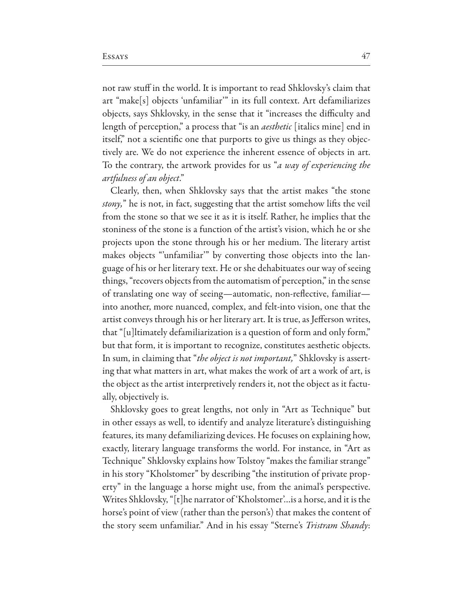not raw stuff in the world. It is important to read Shklovsky's claim that art "make[s] objects 'unfamiliar'" in its full context. Art defamiliarizes objects, says Shklovsky, in the sense that it "increases the difficulty and length of perception," a process that "is an *aesthetic* [italics mine] end in itself," not a scientific one that purports to give us things as they objectively are. We do not experience the inherent essence of objects in art. To the contrary, the artwork provides for us "*a way of experiencing the* artfulness of an object."

Clearly, then, when Shklovsky says that the artist makes "the stone" *stony*," he is not, in fact, suggesting that the artist somehow lifts the veil from the stone so that we see it as it is itself. Rather, he implies that the stoniness of the stone is a function of the artist's vision, which he or she projects upon the stone through his or her medium. The literary artist makes objects "unfamiliar" by converting those objects into the language of his or her literary text. He or she dehabituates our way of seeing things, "recovers objects from the automatism of perception," in the sense of translating one way of seeing—automatic, non-reflective, familiar into another, more nuanced, complex, and felt-into vision, one that the artist conveys through his or her literary art. It is true, as Jefferson writes, that "[u]ltimately defamiliarization is a question of form and only form," but that form, it is important to recognize, constitutes aesthetic objects. In sum, in claiming that "the object is not important," Shklovsky is asserting that what matters in art, what makes the work of art a work of art, is the object as the artist interpretively renders it, not the object as it factually, objectively is.

Shklovsky goes to great lengths, not only in "Art as Technique" but in other essays as well, to identify and analyze literature's distinguishing features, its many defamiliarizing devices. He focuses on explaining how, exactly, literary language transforms the world. For instance, in "Art as Technique" Shklovsky explains how Tolstoy "makes the familiar strange" in his story "Kholstomer" by describing "the institution of private property" in the language a horse might use, from the animal's perspective. Writes Shklovsky, "[t]he narrator of 'Kholstomer'... is a horse, and it is the horse's point of view (rather than the person's) that makes the content of the story seem unfamiliar." And in his essay "Sterne's Tristram Shandy: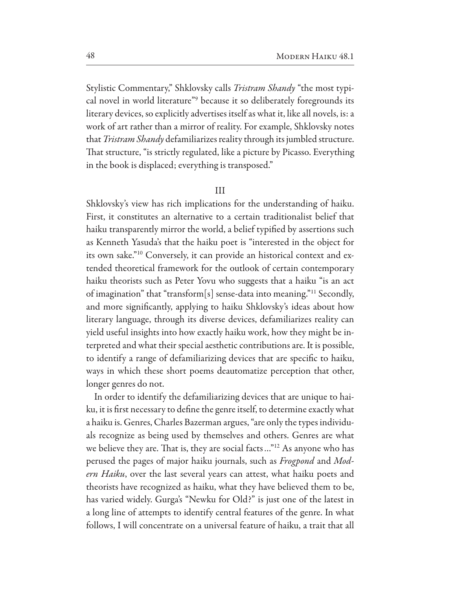Stylistic Commentary," Shklovsky calls *Tristram Shandy* "the most typical novel in world literature"<sup>9</sup> because it so deliberately foregrounds its literary devices, so explicitly advertises itself as what it, like all novels, is: a work of art rather than a mirror of reality. For example, Shklovsky notes that Tristram Shandy defamiliarizes reality through its jumbled structure. That structure, "is strictly regulated, like a picture by Picasso. Everything in the book is displaced; everything is transposed."

#### $III$

Shklovsky's view has rich implications for the understanding of haiku. First, it constitutes an alternative to a certain traditionalist belief that haiku transparently mirror the world, a belief typified by assertions such as Kenneth Yasuda's that the haiku poet is "interested in the object for its own sake."<sup>10</sup> Conversely, it can provide an historical context and extended theoretical framework for the outlook of certain contemporary haiku theorists such as Peter Yovu who suggests that a haiku "is an act of imagination" that "transform[s] sense-data into meaning."<sup>11</sup> Secondly, and more significantly, applying to haiku Shklovsky's ideas about how literary language, through its diverse devices, defamiliarizes reality can yield useful insights into how exactly haiku work, how they might be interpreted and what their special aesthetic contributions are. It is possible, to identify a range of defamiliarizing devices that are specific to haiku, ways in which these short poems deautomatize perception that other, longer genres do not.

In order to identify the defamiliarizing devices that are unique to haiku, it is first necessary to define the genre itself, to determine exactly what a haiku is. Genres, Charles Bazerman argues, "are only the types individuals recognize as being used by themselves and others. Genres are what we believe they are. That is, they are social facts ..."<sup>12</sup> As anyone who has perused the pages of major haiku journals, such as *Frogpond* and Modern Haiku, over the last several years can attest, what haiku poets and theorists have recognized as haiku, what they have believed them to be, has varied widely. Gurga's "Newku for Old?" is just one of the latest in a long line of attempts to identify central features of the genre. In what follows, I will concentrate on a universal feature of haiku, a trait that all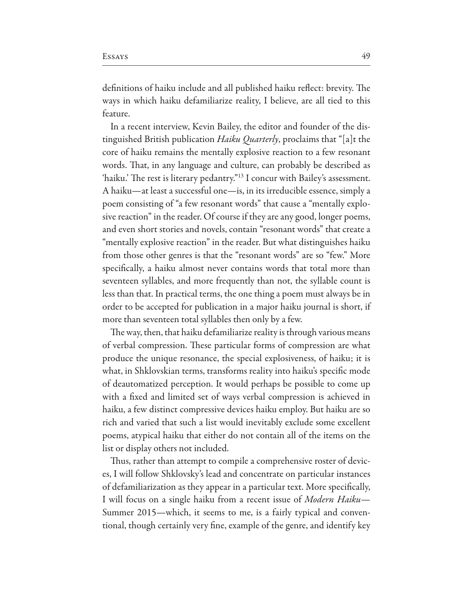definitions of haiku include and all published haiku reflect: brevity. The ways in which haiku defamiliarize reality, I believe, are all tied to this feature.

In a recent interview, Kevin Bailey, the editor and founder of the distinguished British publication *Haiku Quarterly*, proclaims that "[a]t the core of haiku remains the mentally explosive reaction to a few resonant words. That, in any language and culture, can probably be described as 'haiku.' The rest is literary pedantry."<sup>13</sup> I concur with Bailey's assessment. A haiku—at least a successful one—is, in its irreducible essence, simply a poem consisting of "a few resonant words" that cause a "mentally explosive reaction" in the reader. Of course if they are any good, longer poems, and even short stories and novels, contain "resonant words" that create a "mentally explosive reaction" in the reader. But what distinguishes haiku from those other genres is that the "resonant words" are so "few." More specifically, a haiku almost never contains words that total more than seventeen syllables, and more frequently than not, the syllable count is less than that. In practical terms, the one thing a poem must always be in order to be accepted for publication in a major haiku journal is short, if more than seventeen total syllables then only by a few.

The way, then, that haiku defamiliarize reality is through various means of verbal compression. These particular forms of compression are what produce the unique resonance, the special explosiveness, of haiku; it is what, in Shklovskian terms, transforms reality into haiku's specific mode of deautomatized perception. It would perhaps be possible to come up with a fixed and limited set of ways verbal compression is achieved in haiku, a few distinct compressive devices haiku employ. But haiku are so rich and varied that such a list would inevitably exclude some excellent poems, atypical haiku that either do not contain all of the items on the list or display others not included.

Thus, rather than attempt to compile a comprehensive roster of devices, I will follow Shklovsky's lead and concentrate on particular instances of defamiliarization as they appear in a particular text. More specifically, I will focus on a single haiku from a recent issue of *Modern Haiku*— Summer 2015—which, it seems to me, is a fairly typical and conventional, though certainly very fine, example of the genre, and identify key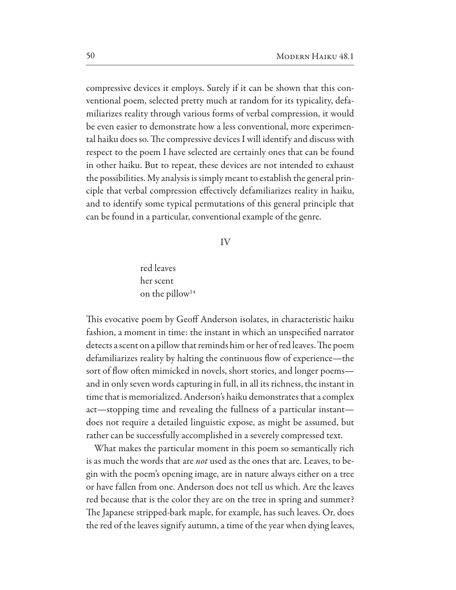compressive devices it employs. Surely if it can be shown that this conventional poem, selected pretty much at random for its typicality, defamiliarizes reality through various forms of verbal compression, it would be even easier to demonstrate how a less conventional, more experimental haiku does so. The compressive devices I will identify and discuss with respect to the poem I have selected are certainly ones that can be found in other haiku. But to repeat, these devices are not intended to exhaust the possibilities. My analysis is simply meant to establish the general principle that verbal compression effectively defamiliarizes reality in haiku, and to identify some typical permutations of this general principle that can be found in a particular, conventional example of the genre.

### IV

red leaves her scent on the pillow<sup>14</sup>

This evocative poem by Geoff Anderson isolates, in characteristic haiku fashion, a moment in time: the instant in which an unspecified narrator detects a scent on a pillow that reminds him or her of red leaves. The poem defamiliarizes reality by halting the continuous flow of experience—the sort of flow often mimicked in novels, short stories, and longer poemsand in only seven words capturing in full, in all its richness, the instant in time that is memorialized. Anderson's haiku demonstrates that a complex act—stopping time and revealing the fullness of a particular instant does not require a detailed linguistic expose, as might be assumed, but rather can be successfully accomplished in a severely compressed text.

What makes the particular moment in this poem so semantically rich is as much the words that are *not* used as the ones that are. Leaves, to begin with the poem's opening image, are in nature always either on a tree or have fallen from one. Anderson does not tell us which. Are the leaves red because that is the color they are on the tree in spring and summer? The Japanese stripped-bark maple, for example, has such leaves. Or, does the red of the leaves signify autumn, a time of the year when dying leaves,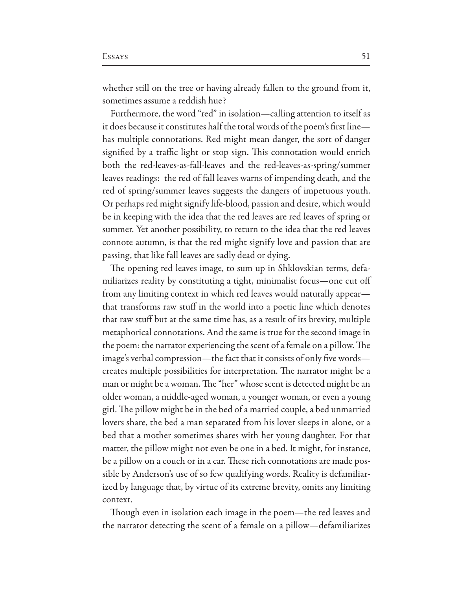whether still on the tree or having already fallen to the ground from it, sometimes assume a reddish hue?

Furthermore, the word "red" in isolation—calling attention to itself as it does because it constitutes half the total words of the poem's first line has multiple connotations. Red might mean danger, the sort of danger signified by a traffic light or stop sign. This connotation would enrich both the red-leaves-as-fall-leaves and the red-leaves-as-spring/summer leaves readings: the red of fall leaves warns of impending death, and the red of spring/summer leaves suggests the dangers of impetuous youth. Or perhaps red might signify life-blood, passion and desire, which would be in keeping with the idea that the red leaves are red leaves of spring or summer. Yet another possibility, to return to the idea that the red leaves connote autumn, is that the red might signify love and passion that are passing, that like fall leaves are sadly dead or dying.

The opening red leaves image, to sum up in Shklovskian terms, defamiliarizes reality by constituting a tight, minimalist focus—one cut off from any limiting context in which red leaves would naturally appear that transforms raw stuff in the world into a poetic line which denotes that raw stuff but at the same time has, as a result of its brevity, multiple metaphorical connotations. And the same is true for the second image in the poem: the narrator experiencing the scent of a female on a pillow. The image's verbal compression—the fact that it consists of only five words creates multiple possibilities for interpretation. The narrator might be a man or might be a woman. The "her" whose scent is detected might be an older woman, a middle-aged woman, a younger woman, or even a young girl. The pillow might be in the bed of a married couple, a bed unmarried lovers share, the bed a man separated from his lover sleeps in alone, or a bed that a mother sometimes shares with her young daughter. For that matter, the pillow might not even be one in a bed. It might, for instance, be a pillow on a couch or in a car. These rich connotations are made possible by Anderson's use of so few qualifying words. Reality is defamiliarized by language that, by virtue of its extreme brevity, omits any limiting context.

Though even in isolation each image in the poem—the red leaves and the narrator detecting the scent of a female on a pillow—defamiliarizes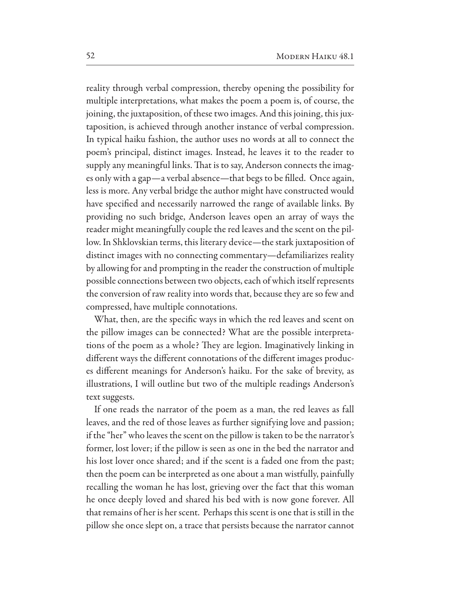reality through verbal compression, thereby opening the possibility for multiple interpretations, what makes the poem a poem is, of course, the joining, the juxtaposition, of these two images. And this joining, this juxtaposition, is achieved through another instance of verbal compression. In typical haiku fashion, the author uses no words at all to connect the poem's principal, distinct images. Instead, he leaves it to the reader to supply any meaningful links. That is to say, Anderson connects the images only with a gap—a verbal absence—that begs to be filled. Once again, less is more. Any verbal bridge the author might have constructed would have specified and necessarily narrowed the range of available links. By providing no such bridge, Anderson leaves open an array of ways the reader might meaningfully couple the red leaves and the scent on the pillow. In Shklovskian terms, this literary device—the stark juxtaposition of distinct images with no connecting commentary—defamiliarizes reality by allowing for and prompting in the reader the construction of multiple possible connections between two objects, each of which itself represents the conversion of raw reality into words that, because they are so few and compressed, have multiple connotations.

What, then, are the specific ways in which the red leaves and scent on the pillow images can be connected? What are the possible interpretations of the poem as a whole? They are legion. Imaginatively linking in different ways the different connotations of the different images produces different meanings for Anderson's haiku. For the sake of brevity, as illustrations, I will outline but two of the multiple readings Anderson's text suggests.

If one reads the narrator of the poem as a man, the red leaves as fall leaves, and the red of those leaves as further signifying love and passion; if the "her" who leaves the scent on the pillow is taken to be the narrator's former, lost lover; if the pillow is seen as one in the bed the narrator and his lost lover once shared; and if the scent is a faded one from the past; then the poem can be interpreted as one about a man wistfully, painfully recalling the woman he has lost, grieving over the fact that this woman he once deeply loved and shared his bed with is now gone forever. All that remains of her is her scent. Perhaps this scent is one that is still in the pillow she once slept on, a trace that persists because the narrator cannot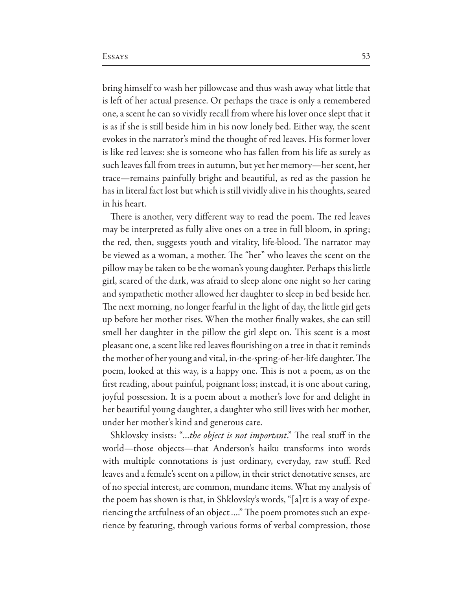bring himself to wash her pillowcase and thus wash away what little that is left of her actual presence. Or perhaps the trace is only a remembered one, a scent he can so vividly recall from where his lover once slept that it is as if she is still beside him in his now lonely bed. Either way, the scent evokes in the narrator's mind the thought of red leaves. His former lover is like red leaves: she is someone who has fallen from his life as surely as such leaves fall from trees in autumn, but yet her memory—her scent, her trace—remains painfully bright and beautiful, as red as the passion he has in literal fact lost but which is still vividly alive in his thoughts, seared in his heart.

There is another, very different way to read the poem. The red leaves may be interpreted as fully alive ones on a tree in full bloom, in spring; the red, then, suggests youth and vitality, life-blood. The narrator may be viewed as a woman, a mother. The "her" who leaves the scent on the pillow may be taken to be the woman's young daughter. Perhaps this little girl, scared of the dark, was afraid to sleep alone one night so her caring and sympathetic mother allowed her daughter to sleep in bed beside her. The next morning, no longer fearful in the light of day, the little girl gets up before her mother rises. When the mother finally wakes, she can still smell her daughter in the pillow the girl slept on. This scent is a most pleasant one, a scent like red leaves flourishing on a tree in that it reminds the mother of her young and vital, in-the-spring-of-her-life daughter. The poem, looked at this way, is a happy one. This is not a poem, as on the first reading, about painful, poignant loss; instead, it is one about caring, joyful possession. It is a poem about a mother's love for and delight in her beautiful young daughter, a daughter who still lives with her mother, under her mother's kind and generous care.

Shklovsky insists: "...the object is not important." The real stuff in the world—those objects—that Anderson's haiku transforms into words with multiple connotations is just ordinary, everyday, raw stuff. Red leaves and a female's scent on a pillow, in their strict denotative senses, are of no special interest, are common, mundane items. What my analysis of the poem has shown is that, in Shklovsky's words, "[a]rt is a way of experiencing the artfulness of an object...." The poem promotes such an experience by featuring, through various forms of verbal compression, those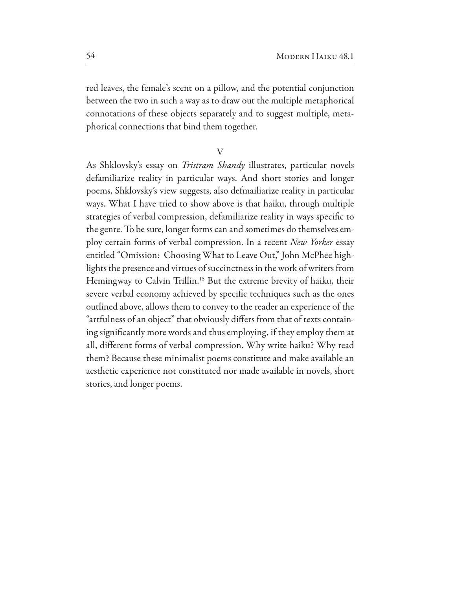red leaves, the female's scent on a pillow, and the potential conjunction between the two in such a way as to draw out the multiple metaphorical connotations of these objects separately and to suggest multiple, metaphorical connections that bind them together.

V

As Shklovsky's essay on *Tristram Shandy* illustrates, particular novels defamiliarize reality in particular ways. And short stories and longer poems, Shklovsky's view suggests, also defmailiarize reality in particular ways. What I have tried to show above is that haiku, through multiple strategies of verbal compression, defamiliarize reality in ways specific to the genre. To be sure, longer forms can and sometimes do themselves employ certain forms of verbal compression. In a recent New Yorker essay entitled "Omission: Choosing What to Leave Out," John McPhee highlights the presence and virtues of succinctness in the work of writers from Hemingway to Calvin Trillin.<sup>15</sup> But the extreme brevity of haiku, their severe verbal economy achieved by specific techniques such as the ones outlined above, allows them to convey to the reader an experience of the "artfulness of an object" that obviously differs from that of texts containing significantly more words and thus employing, if they employ them at all, different forms of verbal compression. Why write haiku? Why read them? Because these minimalist poems constitute and make available an aesthetic experience not constituted nor made available in novels, short stories, and longer poems.